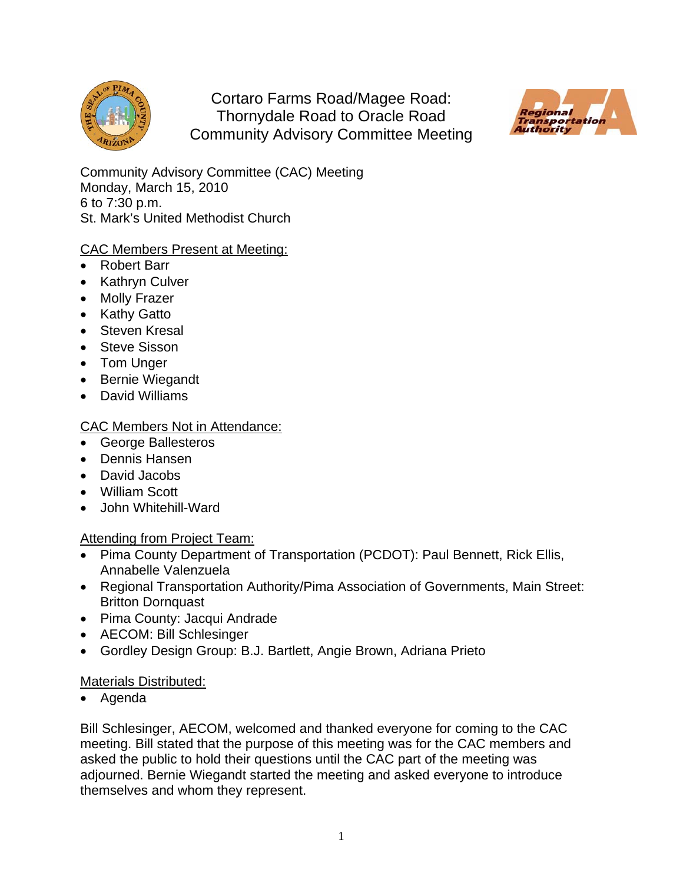

Cortaro Farms Road/Magee Road: Thornydale Road to Oracle Road Community Advisory Committee Meeting



Community Advisory Committee (CAC) Meeting Monday, March 15, 2010 6 to 7:30 p.m. St. Mark's United Methodist Church

## CAC Members Present at Meeting:

- Robert Barr
- Kathryn Culver
- Molly Frazer
- Kathy Gatto
- Steven Kresal
- Steve Sisson
- Tom Unger
- Bernie Wiegandt
- David Williams

## CAC Members Not in Attendance:

- George Ballesteros
- Dennis Hansen
- David Jacobs
- William Scott
- John Whitehill-Ward

## Attending from Project Team:

- Pima County Department of Transportation (PCDOT): Paul Bennett, Rick Ellis, Annabelle Valenzuela
- Regional Transportation Authority/Pima Association of Governments, Main Street: Britton Dornquast
- Pima County: Jacqui Andrade
- AECOM: Bill Schlesinger
- Gordley Design Group: B.J. Bartlett, Angie Brown, Adriana Prieto

## Materials Distributed:

• Agenda

Bill Schlesinger, AECOM, welcomed and thanked everyone for coming to the CAC meeting. Bill stated that the purpose of this meeting was for the CAC members and asked the public to hold their questions until the CAC part of the meeting was adjourned. Bernie Wiegandt started the meeting and asked everyone to introduce themselves and whom they represent.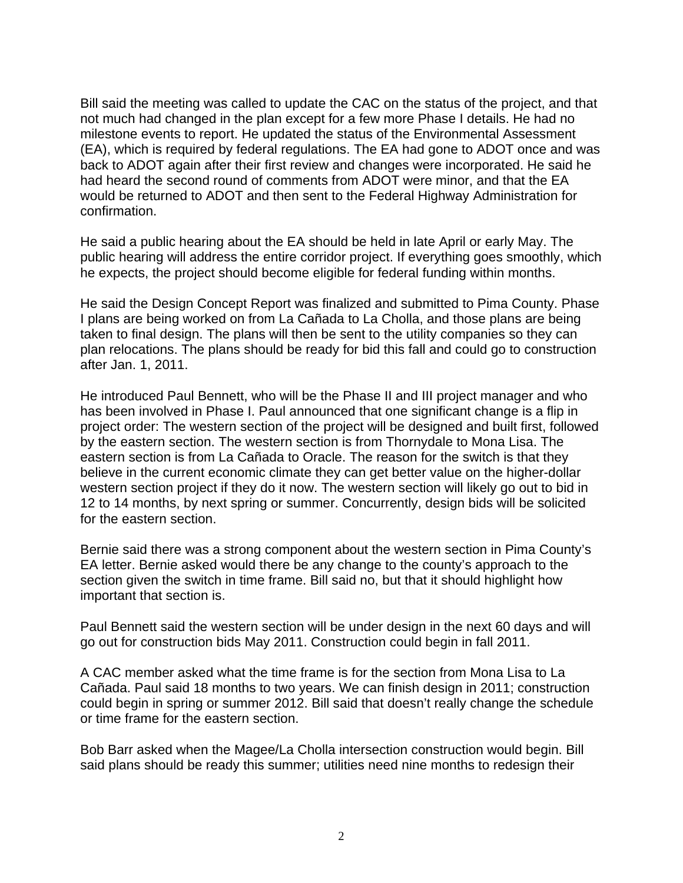Bill said the meeting was called to update the CAC on the status of the project, and that not much had changed in the plan except for a few more Phase I details. He had no milestone events to report. He updated the status of the Environmental Assessment (EA), which is required by federal regulations. The EA had gone to ADOT once and was back to ADOT again after their first review and changes were incorporated. He said he had heard the second round of comments from ADOT were minor, and that the EA would be returned to ADOT and then sent to the Federal Highway Administration for confirmation.

He said a public hearing about the EA should be held in late April or early May. The public hearing will address the entire corridor project. If everything goes smoothly, which he expects, the project should become eligible for federal funding within months.

He said the Design Concept Report was finalized and submitted to Pima County. Phase I plans are being worked on from La Cañada to La Cholla, and those plans are being taken to final design. The plans will then be sent to the utility companies so they can plan relocations. The plans should be ready for bid this fall and could go to construction after Jan. 1, 2011.

He introduced Paul Bennett, who will be the Phase II and III project manager and who has been involved in Phase I. Paul announced that one significant change is a flip in project order: The western section of the project will be designed and built first, followed by the eastern section. The western section is from Thornydale to Mona Lisa. The eastern section is from La Cañada to Oracle. The reason for the switch is that they believe in the current economic climate they can get better value on the higher-dollar western section project if they do it now. The western section will likely go out to bid in 12 to 14 months, by next spring or summer. Concurrently, design bids will be solicited for the eastern section.

Bernie said there was a strong component about the western section in Pima County's EA letter. Bernie asked would there be any change to the county's approach to the section given the switch in time frame. Bill said no, but that it should highlight how important that section is.

Paul Bennett said the western section will be under design in the next 60 days and will go out for construction bids May 2011. Construction could begin in fall 2011.

A CAC member asked what the time frame is for the section from Mona Lisa to La Cañada. Paul said 18 months to two years. We can finish design in 2011; construction could begin in spring or summer 2012. Bill said that doesn't really change the schedule or time frame for the eastern section.

Bob Barr asked when the Magee/La Cholla intersection construction would begin. Bill said plans should be ready this summer; utilities need nine months to redesign their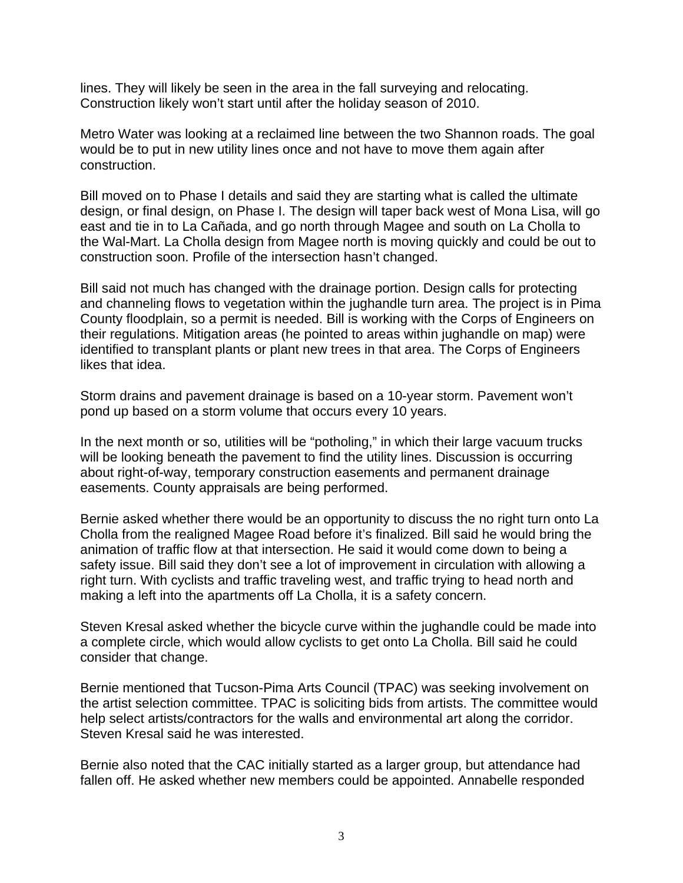lines. They will likely be seen in the area in the fall surveying and relocating. Construction likely won't start until after the holiday season of 2010.

Metro Water was looking at a reclaimed line between the two Shannon roads. The goal would be to put in new utility lines once and not have to move them again after construction.

Bill moved on to Phase I details and said they are starting what is called the ultimate design, or final design, on Phase I. The design will taper back west of Mona Lisa, will go east and tie in to La Cañada, and go north through Magee and south on La Cholla to the Wal-Mart. La Cholla design from Magee north is moving quickly and could be out to construction soon. Profile of the intersection hasn't changed.

Bill said not much has changed with the drainage portion. Design calls for protecting and channeling flows to vegetation within the jughandle turn area. The project is in Pima County floodplain, so a permit is needed. Bill is working with the Corps of Engineers on their regulations. Mitigation areas (he pointed to areas within jughandle on map) were identified to transplant plants or plant new trees in that area. The Corps of Engineers likes that idea.

Storm drains and pavement drainage is based on a 10-year storm. Pavement won't pond up based on a storm volume that occurs every 10 years.

In the next month or so, utilities will be "potholing," in which their large vacuum trucks will be looking beneath the pavement to find the utility lines. Discussion is occurring about right-of-way, temporary construction easements and permanent drainage easements. County appraisals are being performed.

Bernie asked whether there would be an opportunity to discuss the no right turn onto La Cholla from the realigned Magee Road before it's finalized. Bill said he would bring the animation of traffic flow at that intersection. He said it would come down to being a safety issue. Bill said they don't see a lot of improvement in circulation with allowing a right turn. With cyclists and traffic traveling west, and traffic trying to head north and making a left into the apartments off La Cholla, it is a safety concern.

Steven Kresal asked whether the bicycle curve within the jughandle could be made into a complete circle, which would allow cyclists to get onto La Cholla. Bill said he could consider that change.

Bernie mentioned that Tucson-Pima Arts Council (TPAC) was seeking involvement on the artist selection committee. TPAC is soliciting bids from artists. The committee would help select artists/contractors for the walls and environmental art along the corridor. Steven Kresal said he was interested.

Bernie also noted that the CAC initially started as a larger group, but attendance had fallen off. He asked whether new members could be appointed. Annabelle responded